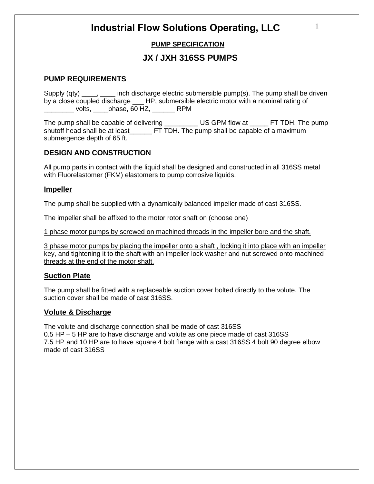# **PUMP SPECIFICATION**

# **JX / JXH 316SS PUMPS**

### **PUMP REQUIREMENTS**

Supply (qty) \_\_\_\_, \_\_\_\_ inch discharge electric submersible pump(s). The pump shall be driven by a close coupled discharge \_\_\_ HP, submersible electric motor with a nominal rating of \_\_\_\_\_\_\_\_ volts, \_\_\_\_phase, 60 HZ, \_\_\_\_\_\_ RPM

The pump shall be capable of delivering \_\_\_\_\_\_\_\_\_\_\_\_ US GPM flow at \_\_\_\_\_\_ FT TDH. The pump shutoff head shall be at least\_\_\_\_\_\_ FT TDH. The pump shall be capable of a maximum submergence depth of 65 ft.

### **DESIGN AND CONSTRUCTION**

All pump parts in contact with the liquid shall be designed and constructed in all 316SS metal with Fluorelastomer (FKM) elastomers to pump corrosive liquids.

#### **Impeller**

The pump shall be supplied with a dynamically balanced impeller made of cast 316SS.

The impeller shall be affixed to the motor rotor shaft on (choose one)

1 phase motor pumps by screwed on machined threads in the impeller bore and the shaft.

3 phase motor pumps by placing the impeller onto a shaft , locking it into place with an impeller key, and tightening it to the shaft with an impeller lock washer and nut screwed onto machined threads at the end of the motor shaft.

#### **Suction Plate**

The pump shall be fitted with a replaceable suction cover bolted directly to the volute. The suction cover shall be made of cast 316SS.

#### **Volute & Discharge**

The volute and discharge connection shall be made of cast 316SS 0.5 HP – 5 HP are to have discharge and volute as one piece made of cast 316SS 7.5 HP and 10 HP are to have square 4 bolt flange with a cast 316SS 4 bolt 90 degree elbow made of cast 316SS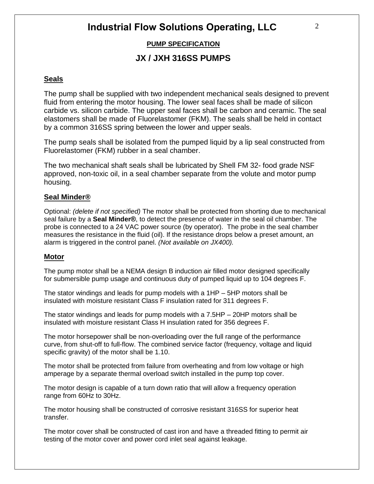## **PUMP SPECIFICATION**

# **JX / JXH 316SS PUMPS**

#### **Seals**

The pump shall be supplied with two independent mechanical seals designed to prevent fluid from entering the motor housing. The lower seal faces shall be made of silicon carbide vs. silicon carbide. The upper seal faces shall be carbon and ceramic. The seal elastomers shall be made of Fluorelastomer (FKM). The seals shall be held in contact by a common 316SS spring between the lower and upper seals.

The pump seals shall be isolated from the pumped liquid by a lip seal constructed from Fluorelastomer (FKM) rubber in a seal chamber.

The two mechanical shaft seals shall be lubricated by Shell FM 32- food grade NSF approved, non-toxic oil, in a seal chamber separate from the volute and motor pump housing.

#### **Seal Minder®**

Optional: *(delete if not specified)* The motor shall be protected from shorting due to mechanical seal failure by a **Seal Minder®**, to detect the presence of water in the seal oil chamber. The probe is connected to a 24 VAC power source (by operator). The probe in the seal chamber measures the resistance in the fluid (oil). If the resistance drops below a preset amount, an alarm is triggered in the control panel. *(Not available on JX400).*

#### **Motor**

The pump motor shall be a NEMA design B induction air filled motor designed specifically for submersible pump usage and continuous duty of pumped liquid up to 104 degrees F.

The stator windings and leads for pump models with a 1HP – 5HP motors shall be insulated with moisture resistant Class F insulation rated for 311 degrees F.

The stator windings and leads for pump models with a 7.5HP – 20HP motors shall be insulated with moisture resistant Class H insulation rated for 356 degrees F.

The motor horsepower shall be non-overloading over the full range of the performance curve, from shut-off to full-flow. The combined service factor (frequency, voltage and liquid specific gravity) of the motor shall be 1.10.

The motor shall be protected from failure from overheating and from low voltage or high amperage by a separate thermal overload switch installed in the pump top cover.

The motor design is capable of a turn down ratio that will allow a frequency operation range from 60Hz to 30Hz.

The motor housing shall be constructed of corrosive resistant 316SS for superior heat transfer.

The motor cover shall be constructed of cast iron and have a threaded fitting to permit air testing of the motor cover and power cord inlet seal against leakage.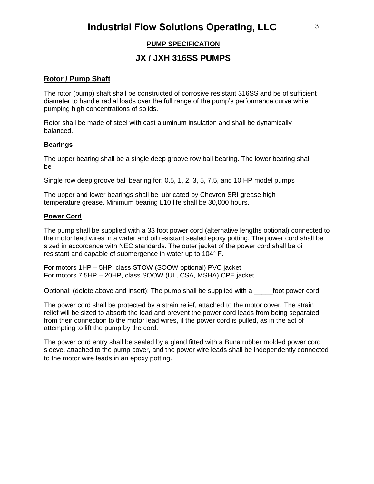## **PUMP SPECIFICATION**

# **JX / JXH 316SS PUMPS**

### **Rotor / Pump Shaft**

The rotor (pump) shaft shall be constructed of corrosive resistant 316SS and be of sufficient diameter to handle radial loads over the full range of the pump's performance curve while pumping high concentrations of solids.

Rotor shall be made of steel with cast aluminum insulation and shall be dynamically balanced.

#### **Bearings**

The upper bearing shall be a single deep groove row ball bearing. The lower bearing shall be

Single row deep groove ball bearing for: 0.5, 1, 2, 3, 5, 7.5, and 10 HP model pumps

The upper and lower bearings shall be lubricated by Chevron SRI grease high temperature grease. Minimum bearing L10 life shall be 30,000 hours.

#### **Power Cord**

The pump shall be supplied with a 33 foot power cord (alternative lengths optional) connected to the motor lead wires in a water and oil resistant sealed epoxy potting. The power cord shall be sized in accordance with NEC standards. The outer jacket of the power cord shall be oil resistant and capable of submergence in water up to 104° F.

For motors 1HP – 5HP, class STOW (SOOW optional) PVC jacket For motors 7.5HP – 20HP, class SOOW (UL, CSA, MSHA) CPE jacket

Optional: (delete above and insert): The pump shall be supplied with a \_\_\_\_\_\_\_foot power cord.

The power cord shall be protected by a strain relief, attached to the motor cover. The strain relief will be sized to absorb the load and prevent the power cord leads from being separated from their connection to the motor lead wires, if the power cord is pulled, as in the act of attempting to lift the pump by the cord.

The power cord entry shall be sealed by a gland fitted with a Buna rubber molded power cord sleeve, attached to the pump cover, and the power wire leads shall be independently connected to the motor wire leads in an epoxy potting.